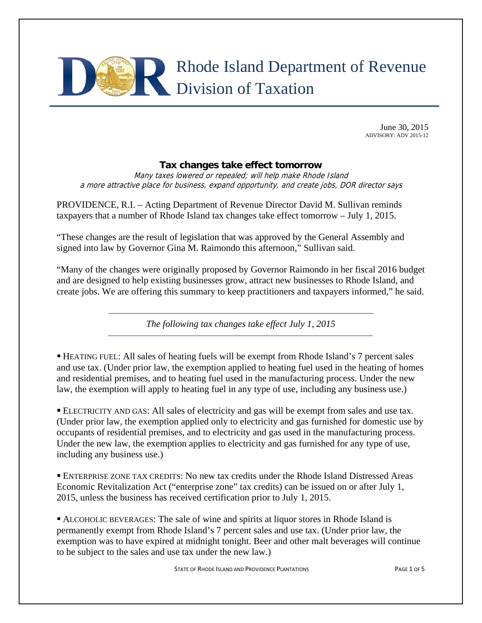

June 30, 2015 ADVISORY: ADV 2015-12

#### **Tax changes take effect tomorrow**

Many taxes lowered or repealed; will help make Rhode Island a more attractive place for business, expand opportunity, and create jobs, DOR director says

PROVIDENCE, R.I. – Acting Department of Revenue Director David M. Sullivan reminds taxpayers that a number of Rhode Island tax changes take effect tomorrow – July 1, 2015.

"These changes are the result of legislation that was approved by the General Assembly and signed into law by Governor Gina M. Raimondo this afternoon," Sullivan said.

"Many of the changes were originally proposed by Governor Raimondo in her fiscal 2016 budget and are designed to help existing businesses grow, attract new businesses to Rhode Island, and create jobs. We are offering this summary to keep practitioners and taxpayers informed," he said.

*The following tax changes take effect July 1, 2015* 

 HEATING FUEL: All sales of heating fuels will be exempt from Rhode Island's 7 percent sales and use tax. (Under prior law, the exemption applied to heating fuel used in the heating of homes and residential premises, and to heating fuel used in the manufacturing process. Under the new law, the exemption will apply to heating fuel in any type of use, including any business use.)

 ELECTRICITY AND GAS: All sales of electricity and gas will be exempt from sales and use tax. (Under prior law, the exemption applied only to electricity and gas furnished for domestic use by occupants of residential premises, and to electricity and gas used in the manufacturing process. Under the new law, the exemption applies to electricity and gas furnished for any type of use, including any business use.)

 ENTERPRISE ZONE TAX CREDITS: No new tax credits under the Rhode Island Distressed Areas Economic Revitalization Act ("enterprise zone" tax credits) can be issued on or after July 1, 2015, unless the business has received certification prior to July 1, 2015.

 ALCOHOLIC BEVERAGES: The sale of wine and spirits at liquor stores in Rhode Island is permanently exempt from Rhode Island's 7 percent sales and use tax. (Under prior law, the exemption was to have expired at midnight tonight. Beer and other malt beverages will continue to be subject to the sales and use tax under the new law.)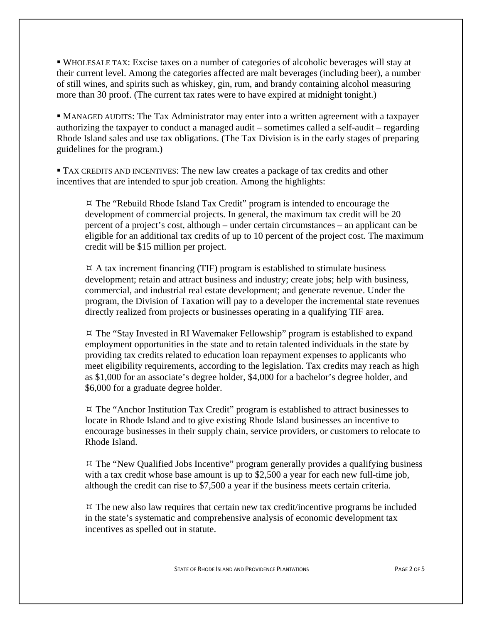WHOLESALE TAX: Excise taxes on a number of categories of alcoholic beverages will stay at their current level. Among the categories affected are malt beverages (including beer), a number of still wines, and spirits such as whiskey, gin, rum, and brandy containing alcohol measuring more than 30 proof. (The current tax rates were to have expired at midnight tonight.)

 MANAGED AUDITS: The Tax Administrator may enter into a written agreement with a taxpayer authorizing the taxpayer to conduct a managed audit – sometimes called a self-audit – regarding Rhode Island sales and use tax obligations. (The Tax Division is in the early stages of preparing guidelines for the program.)

 TAX CREDITS AND INCENTIVES: The new law creates a package of tax credits and other incentives that are intended to spur job creation. Among the highlights:

 $\forall$  The "Rebuild Rhode Island Tax Credit" program is intended to encourage the development of commercial projects. In general, the maximum tax credit will be 20 percent of a project's cost, although – under certain circumstances – an applicant can be eligible for an additional tax credits of up to 10 percent of the project cost. The maximum credit will be \$15 million per project.

 $\beta$  A tax increment financing (TIF) program is established to stimulate business development; retain and attract business and industry; create jobs; help with business, commercial, and industrial real estate development; and generate revenue. Under the program, the Division of Taxation will pay to a developer the incremental state revenues directly realized from projects or businesses operating in a qualifying TIF area.

 $\overline{z}$  The "Stay Invested in RI Wavemaker Fellowship" program is established to expand employment opportunities in the state and to retain talented individuals in the state by providing tax credits related to education loan repayment expenses to applicants who meet eligibility requirements, according to the legislation. Tax credits may reach as high as \$1,000 for an associate's degree holder, \$4,000 for a bachelor's degree holder, and \$6,000 for a graduate degree holder.

 $\overline{z}$  The "Anchor Institution Tax Credit" program is established to attract businesses to locate in Rhode Island and to give existing Rhode Island businesses an incentive to encourage businesses in their supply chain, service providers, or customers to relocate to Rhode Island.

 $\upmu$  The "New Qualified Jobs Incentive" program generally provides a qualifying business with a tax credit whose base amount is up to \$2,500 a year for each new full-time job, although the credit can rise to \$7,500 a year if the business meets certain criteria.

 $\uplus$  The new also law requires that certain new tax credit/incentive programs be included in the state's systematic and comprehensive analysis of economic development tax incentives as spelled out in statute.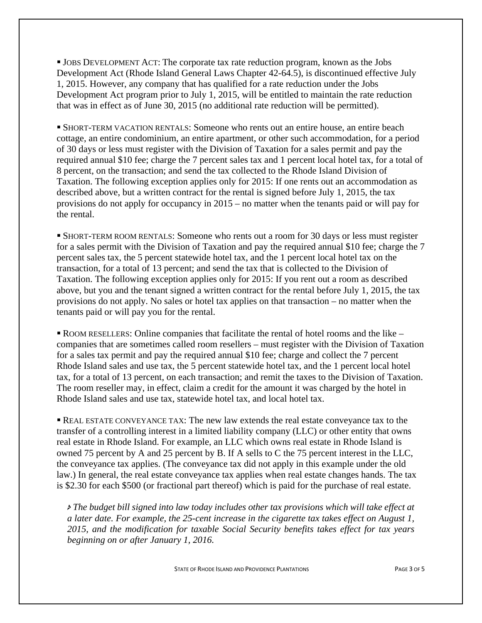JOBS DEVELOPMENT ACT: The corporate tax rate reduction program, known as the Jobs Development Act (Rhode Island General Laws Chapter 42-64.5), is discontinued effective July 1, 2015. However, any company that has qualified for a rate reduction under the Jobs Development Act program prior to July 1, 2015, will be entitled to maintain the rate reduction that was in effect as of June 30, 2015 (no additional rate reduction will be permitted).

 SHORT-TERM VACATION RENTALS: Someone who rents out an entire house, an entire beach cottage, an entire condominium, an entire apartment, or other such accommodation, for a period of 30 days or less must register with the Division of Taxation for a sales permit and pay the required annual \$10 fee; charge the 7 percent sales tax and 1 percent local hotel tax, for a total of 8 percent, on the transaction; and send the tax collected to the Rhode Island Division of Taxation. The following exception applies only for 2015: If one rents out an accommodation as described above, but a written contract for the rental is signed before July 1, 2015, the tax provisions do not apply for occupancy in 2015 – no matter when the tenants paid or will pay for the rental.

 SHORT-TERM ROOM RENTALS: Someone who rents out a room for 30 days or less must register for a sales permit with the Division of Taxation and pay the required annual \$10 fee; charge the 7 percent sales tax, the 5 percent statewide hotel tax, and the 1 percent local hotel tax on the transaction, for a total of 13 percent; and send the tax that is collected to the Division of Taxation. The following exception applies only for 2015: If you rent out a room as described above, but you and the tenant signed a written contract for the rental before July 1, 2015, the tax provisions do not apply. No sales or hotel tax applies on that transaction – no matter when the tenants paid or will pay you for the rental.

• ROOM RESELLERS: Online companies that facilitate the rental of hotel rooms and the like – companies that are sometimes called room resellers – must register with the Division of Taxation for a sales tax permit and pay the required annual \$10 fee; charge and collect the 7 percent Rhode Island sales and use tax, the 5 percent statewide hotel tax, and the 1 percent local hotel tax, for a total of 13 percent, on each transaction; and remit the taxes to the Division of Taxation. The room reseller may, in effect, claim a credit for the amount it was charged by the hotel in Rhode Island sales and use tax, statewide hotel tax, and local hotel tax.

 REAL ESTATE CONVEYANCE TAX: The new law extends the real estate conveyance tax to the transfer of a controlling interest in a limited liability company (LLC) or other entity that owns real estate in Rhode Island. For example, an LLC which owns real estate in Rhode Island is owned 75 percent by A and 25 percent by B. If A sells to C the 75 percent interest in the LLC, the conveyance tax applies. (The conveyance tax did not apply in this example under the old law.) In general, the real estate conveyance tax applies when real estate changes hands. The tax is \$2.30 for each \$500 (or fractional part thereof) which is paid for the purchase of real estate.

 *The budget bill signed into law today includes other tax provisions which will take effect at a later date. For example, the 25-cent increase in the cigarette tax takes effect on August 1, 2015, and the modification for taxable Social Security benefits takes effect for tax years beginning on or after January 1, 2016.*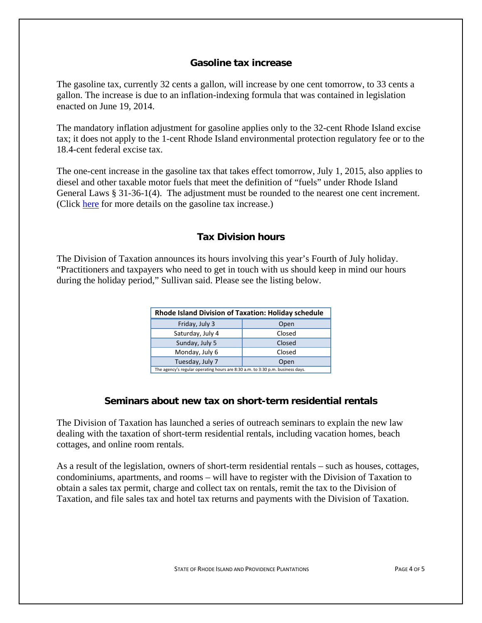#### **Gasoline tax increase**

The gasoline tax, currently 32 cents a gallon, will increase by one cent tomorrow, to 33 cents a gallon. The increase is due to an inflation-indexing formula that was contained in legislation enacted on June 19, 2014.

The mandatory inflation adjustment for gasoline applies only to the 32-cent Rhode Island excise tax; it does not apply to the 1-cent Rhode Island environmental protection regulatory fee or to the 18.4-cent federal excise tax.

The one-cent increase in the gasoline tax that takes effect tomorrow, July 1, 2015, also applies to diesel and other taxable motor fuels that meet the definition of "fuels" under Rhode Island General Laws § 31-36-1(4). The adjustment must be rounded to the nearest one cent increment. (Click here for more details on the gasoline tax increase.)

## **Tax Division hours**

The Division of Taxation announces its hours involving this year's Fourth of July holiday. "Practitioners and taxpayers who need to get in touch with us should keep in mind our hours during the holiday period," Sullivan said. Please see the listing below.

| Rhode Island Division of Taxation: Holiday schedule                            |        |
|--------------------------------------------------------------------------------|--------|
| Friday, July 3                                                                 | Open   |
| Saturday, July 4                                                               | Closed |
| Sunday, July 5                                                                 | Closed |
| Monday, July 6                                                                 | Closed |
| Tuesday, July 7                                                                | Open   |
| The agency's regular operating hours are 8:30 a.m. to 3:30 p.m. business days. |        |

## **Seminars about new tax on short-term residential rentals**

The Division of Taxation has launched a series of outreach seminars to explain the new law dealing with the taxation of short-term residential rentals, including vacation homes, beach cottages, and online room rentals.

As a result of the legislation, owners of short-term residential rentals – such as houses, cottages, condominiums, apartments, and rooms – will have to register with the Division of Taxation to obtain a sales tax permit, charge and collect tax on rentals, remit the tax to the Division of Taxation, and file sales tax and hotel tax returns and payments with the Division of Taxation.